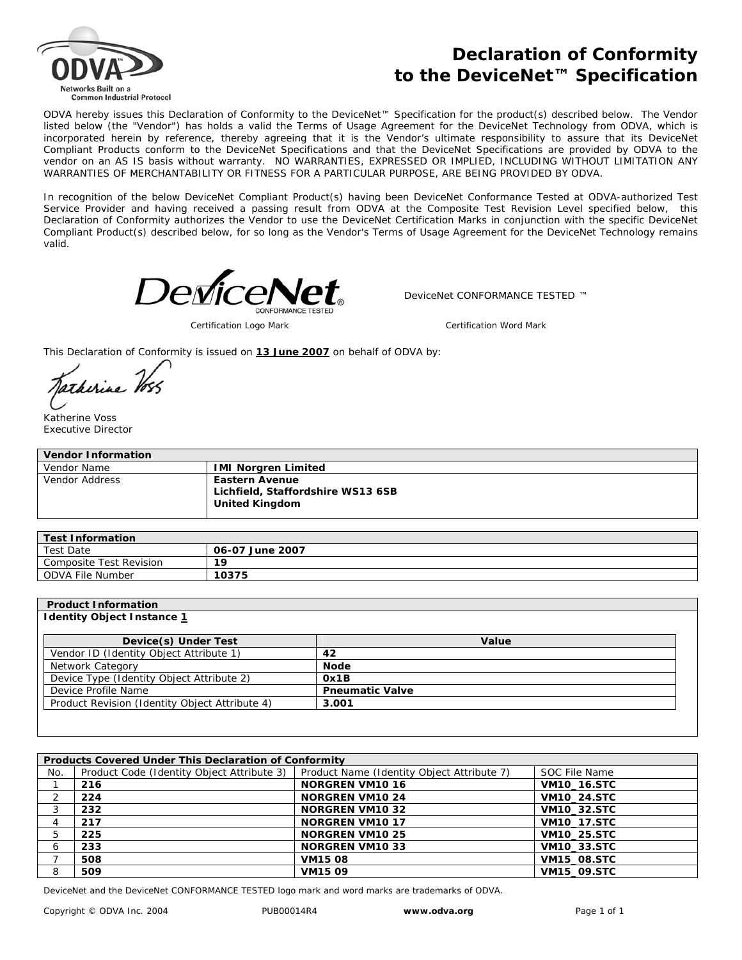

## **Declaration of Conformity to the DeviceNet™ Specification**

ODVA hereby issues this Declaration of Conformity to the DeviceNet™ Specification for the product(s) described below. The Vendor listed below (the "Vendor") has holds a valid the Terms of Usage Agreement for the DeviceNet Technology from ODVA, which is incorporated herein by reference, thereby agreeing that it is the Vendor's ultimate responsibility to assure that its DeviceNet Compliant Products conform to the DeviceNet Specifications and that the DeviceNet Specifications are provided by ODVA to the vendor on an AS IS basis without warranty. NO WARRANTIES, EXPRESSED OR IMPLIED, INCLUDING WITHOUT LIMITATION ANY WARRANTIES OF MERCHANTABILITY OR FITNESS FOR A PARTICULAR PURPOSE, ARE BEING PROVIDED BY ODVA.

In recognition of the below DeviceNet Compliant Product(s) having been DeviceNet Conformance Tested at ODVA-authorized Test Service Provider and having received a passing result from ODVA at the Composite Test Revision Level specified below, this Declaration of Conformity authorizes the Vendor to use the DeviceNet Certification Marks in conjunction with the specific DeviceNet Compliant Product(s) described below, for so long as the Vendor's Terms of Usage Agreement for the DeviceNet Technology remains valid.



DeviceNet CONFORMANCE TESTED ™

*Certification Logo Mark Certification Word Mark*

This Declaration of Conformity is issued on **13 June 2007** on behalf of ODVA by:

Jarkirine Voss

Katherine Voss Executive Director

| <b>Vendor Information</b> |                                                                                     |  |  |
|---------------------------|-------------------------------------------------------------------------------------|--|--|
| Vendor Name               | <b>IMI Norgren Limited</b>                                                          |  |  |
| Vendor Address            | <b>Eastern Avenue</b><br>Lichfield, Staffordshire WS13 6SB<br><b>United Kingdom</b> |  |  |

| <b>Test Information</b> |                 |  |
|-------------------------|-----------------|--|
| <b>Test Date</b>        | 06-07 June 2007 |  |
| Composite Test Revision | 1 O             |  |
| ODVA File Number        | 10375           |  |

| <b>Product Information</b> |  |
|----------------------------|--|
|----------------------------|--|

## **Identity Object Instance 1**

| Device(s) Under Test                           | Value                  |
|------------------------------------------------|------------------------|
| Vendor ID (Identity Object Attribute 1)        | 42                     |
| Network Category                               | <b>Node</b>            |
| Device Type (Identity Object Attribute 2)      | Ox1B                   |
| Device Profile Name                            | <b>Pneumatic Valve</b> |
| Product Revision (Identity Object Attribute 4) | 3.001                  |

| Products Covered Under This Declaration of Conformity |                                            |                                            |                    |  |  |
|-------------------------------------------------------|--------------------------------------------|--------------------------------------------|--------------------|--|--|
| No.                                                   | Product Code (Identity Object Attribute 3) | Product Name (Identity Object Attribute 7) | SOC File Name      |  |  |
|                                                       | 216                                        | <b>NORGREN VM1016</b>                      | VM10_16.STC        |  |  |
|                                                       | 224                                        | <b>NORGREN VM10 24</b>                     | <b>VM10 24.STC</b> |  |  |
|                                                       | 232                                        | <b>NORGREN VM1032</b>                      | <b>VM10 32.STC</b> |  |  |
|                                                       | 217                                        | <b>NORGREN VM1017</b>                      | <b>VM10_17.STC</b> |  |  |
| 5                                                     | 225                                        | <b>NORGREN VM1025</b>                      | <b>VM10 25.STC</b> |  |  |
| -6                                                    | 233                                        | <b>NORGREN VM1033</b>                      | <b>VM10_33.STC</b> |  |  |
|                                                       | 508                                        | <b>VM1508</b>                              | VM15_08.STC        |  |  |
| 8                                                     | 509                                        | VM1509                                     | VM15_09.STC        |  |  |

DeviceNet and the DeviceNet CONFORMANCE TESTED logo mark and word marks are trademarks of ODVA.